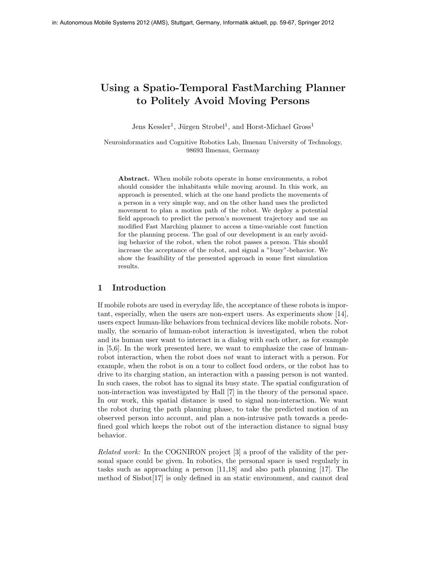# Using a Spatio-Temporal FastMarching Planner to Politely Avoid Moving Persons

Jens Kessler<sup>1</sup>, Jürgen Strobel<sup>1</sup>, and Horst-Michael Gross<sup>1</sup>

Neuroinformatics and Cognitive Robotics Lab, Ilmenau University of Technology, 98693 Ilmenau, Germany

Abstract. When mobile robots operate in home environments, a robot should consider the inhabitants while moving around. In this work, an approach is presented, which at the one hand predicts the movements of a person in a very simple way, and on the other hand uses the predicted movement to plan a motion path of the robot. We deploy a potential field approach to predict the person's movement trajectory and use an modified Fast Marching planner to access a time-variable cost function for the planning process. The goal of our development is an early avoiding behavior of the robot, when the robot passes a person. This should increase the acceptance of the robot, and signal a "busy"-behavior. We show the feasibility of the presented approach in some first simulation results.

## 1 Introduction

If mobile robots are used in everyday life, the acceptance of these robots is important, especially, when the users are non-expert users. As experiments show [14], users expect human-like behaviors from technical devices like mobile robots. Normally, the scenario of human-robot interaction is investigated, when the robot and its human user want to interact in a dialog with each other, as for example in [5,6]. In the work presented here, we want to emphasize the case of humanrobot interaction, when the robot does not want to interact with a person. For example, when the robot is on a tour to collect food orders, or the robot has to drive to its charging station, an interaction with a passing person is not wanted. In such cases, the robot has to signal its busy state. The spatial configuration of non-interaction was investigated by Hall [7] in the theory of the personal space. In our work, this spatial distance is used to signal non-interaction. We want the robot during the path planning phase, to take the predicted motion of an observed person into account, and plan a non-intrusive path towards a predefined goal which keeps the robot out of the interaction distance to signal busy behavior.

Related work: In the COGNIRON project [3] a proof of the validity of the personal space could be given. In robotics, the personal space is used regularly in tasks such as approaching a person [11,18] and also path planning [17]. The method of Sisbot<sup>[17]</sup> is only defined in an static environment, and cannot deal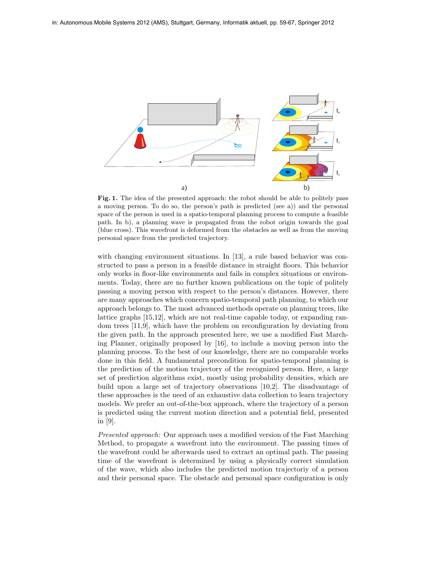

Fig. 1. The idea of the presented approach: the robot should be able to politely pass a moving person. To do so, the person's path is predicted (see a)) and the personal space of the person is used in a spatio-temporal planning process to compute a feasible path. In b), a planning wave is propagated from the robot origin towards the goal (blue cross). This wavefront is deformed from the obstacles as well as from the moving personal space from the predicted trajectory.

with changing environment situations. In [13], a rule based behavior was constructed to pass a person in a feasible distance in straight floors. This behavior only works in floor-like environments and fails in complex situations or environments. Today, there are no further known publications on the topic of politely passing a moving person with respect to the person's distances. However, there are many approaches which concern spatio-temporal path planning, to which our approach belongs to. The most advanced methods operate on planning trees, like lattice graphs [15,12], which are not real-time capable today, or expanding random trees [11,9], which have the problem on reconfiguration by deviating from the given path. In the approach presented here, we use a modified Fast Marching Planner, originally proposed by [16], to include a moving person into the planning process. To the best of our knowledge, there are no comparable works done in this field. A fundamental precondition for spatio-temporal planning is the prediction of the motion trajectory of the recognized person. Here, a large set of prediction algorithms exist, mostly using probability densities, which are build upon a large set of trajectory observations [10,2]. The disadvantage of these approaches is the need of an exhaustive data collection to learn trajectory models. We prefer an out-of-the-box approach, where the trajectory of a person is predicted using the current motion direction and a potential field, presented in [9].

Presented approach: Our approach uses a modified version of the Fast Marching Method, to propagate a wavefront into the environment. The passing times of the wavefront could be afterwards used to extract an optimal path. The passing time of the wavefront is determined by using a physically correct simulation of the wave, which also includes the predicted motion trajectoriy of a person and their personal space. The obstacle and personal space configuration is only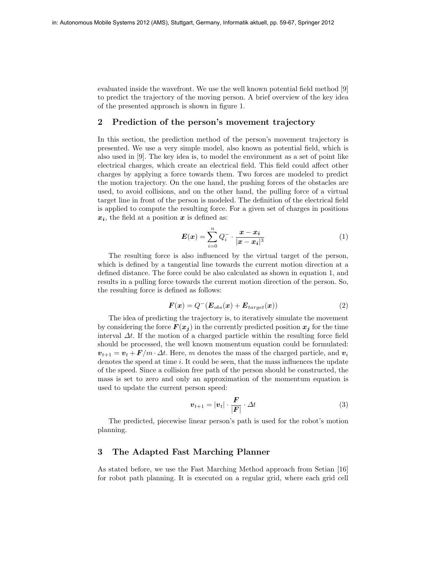evaluated inside the wavefront. We use the well known potential field method [9] to predict the trajectory of the moving person. A brief overview of the key idea of the presented approach is shown in figure 1.

## 2 Prediction of the person's movement trajectory

In this section, the prediction method of the person's movement trajectory is presented. We use a very simple model, also known as potential field, which is also used in [9]. The key idea is, to model the environment as a set of point like electrical charges, which create an electrical field. This field could affect other charges by applying a force towards them. Two forces are modeled to predict the motion trajectory. On the one hand, the pushing forces of the obstacles are used, to avoid collisions, and on the other hand, the pulling force of a virtual target line in front of the person is modeled. The definition of the electrical field is applied to compute the resulting force. For a given set of charges in positions  $x_i$ , the field at a position x is defined as:

$$
E(x) = \sum_{i=0}^{n} Q_i^{-} \cdot \frac{x - x_i}{|x - x_i|^3}
$$
 (1)

The resulting force is also influenced by the virtual target of the person, which is defined by a tangential line towards the current motion direction at a defined distance. The force could be also calculated as shown in equation 1, and results in a pulling force towards the current motion direction of the person. So, the resulting force is defined as follows:

$$
\boldsymbol{F}(\boldsymbol{x}) = Q^{-}(\boldsymbol{E}_{obs}(\boldsymbol{x}) + \boldsymbol{E}_{target}(\boldsymbol{x})) \qquad (2)
$$

The idea of predicting the trajectory is, to iteratively simulate the movement by considering the force  $F(x_i)$  in the currently predicted position  $x_i$  for the time interval  $\Delta t$ . If the motion of a charged particle within the resulting force field should be processed, the well known momentum equation could be formulated:  $v_{t+1} = v_t + F/m \cdot \Delta t$ . Here, m denotes the mass of the charged particle, and  $v_i$ denotes the speed at time  $i$ . It could be seen, that the mass influences the update of the speed. Since a collision free path of the person should be constructed, the mass is set to zero and only an approximation of the momentum equation is used to update the current person speed:

$$
\boldsymbol{v}_{t+1} = |\boldsymbol{v}_t| \cdot \frac{\boldsymbol{F}}{|\boldsymbol{F}|} \cdot \Delta t \tag{3}
$$

The predicted, piecewise linear person's path is used for the robot's motion planning.

# 3 The Adapted Fast Marching Planner

As stated before, we use the Fast Marching Method approach from Setian [16] for robot path planning. It is executed on a regular grid, where each grid cell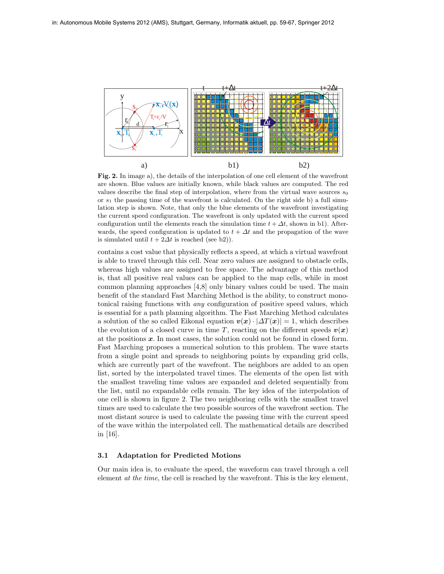

Fig. 2. In image a), the details of the interpolation of one cell element of the wavefront are shown. Blue values are initially known, while black values are computed. The red values describe the final step of interpolation, where from the virtual wave sources  $s_0$ or  $s_1$  the passing time of the wavefront is calculated. On the right side b) a full simulation step is shown. Note, that only the blue elements of the wavefront investigating the current speed configuration. The wavefront is only updated with the current speed configuration until the elements reach the simulation time  $t + \Delta t$ , shown in b1). Afterwards, the speed configuration is updated to  $t + \Delta t$  and the propagation of the wave is simulated until  $t + 2\Delta t$  is reached (see b2)).

contains a cost value that physically reflects a speed, at which a virtual wavefront is able to travel through this cell. Near zero values are assigned to obstacle cells, whereas high values are assigned to free space. The advantage of this method is, that all positive real values can be applied to the map cells, while in most common planning approaches [4,8] only binary values could be used. The main benefit of the standard Fast Marching Method is the ability, to construct monotonical raising functions with any configuration of positive speed values, which is essential for a path planning algorithm. The Fast Marching Method calculates a solution of the so called Eikonal equation  $v(x) \cdot |\Delta T(x)| = 1$ , which describes the evolution of a closed curve in time T, reacting on the different speeds  $v(x)$ at the positions  $x$ . In most cases, the solution could not be found in closed form. Fast Marching proposes a numerical solution to this problem. The wave starts from a single point and spreads to neighboring points by expanding grid cells, which are currently part of the wavefront. The neighbors are added to an open list, sorted by the interpolated travel times. The elements of the open list with the smallest traveling time values are expanded and deleted sequentially from the list, until no expandable cells remain. The key idea of the interpolation of one cell is shown in figure 2. The two neighboring cells with the smallest travel times are used to calculate the two possible sources of the wavefront section. The most distant source is used to calculate the passing time with the current speed of the wave within the interpolated cell. The mathematical details are described in [16].

## 3.1 Adaptation for Predicted Motions

Our main idea is, to evaluate the speed, the waveform can travel through a cell element at the time, the cell is reached by the wavefront. This is the key element,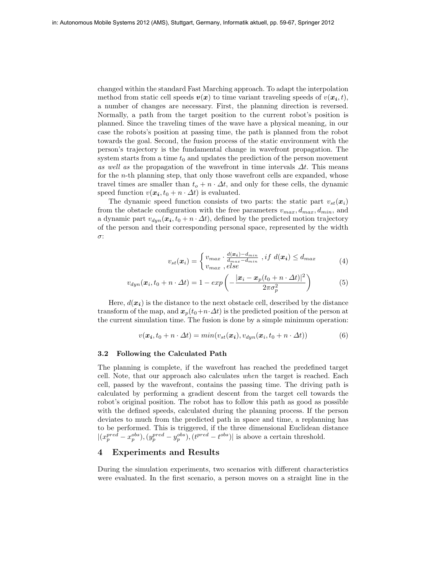changed within the standard Fast Marching approach. To adapt the interpolation method from static cell speeds  $v(x)$  to time variant traveling speeds of  $v(x_i, t)$ , a number of changes are necessary. First, the planning direction is reversed. Normally, a path from the target position to the current robot's position is planned. Since the traveling times of the wave have a physical meaning, in our case the robots's position at passing time, the path is planned from the robot towards the goal. Second, the fusion process of the static environment with the person's trajectory is the fundamental change in wavefront propagation. The system starts from a time  $t_0$  and updates the prediction of the person movement as well as the propagation of the wavefront in time intervals  $\Delta t$ . This means for the n-th planning step, that only those wavefront cells are expanded, whose travel times are smaller than  $t_o + n \cdot \Delta t$ , and only for these cells, the dynamic speed function  $v(x_i, t_0 + n \cdot \Delta t)$  is evaluated.

The dynamic speed function consists of two parts: the static part  $v_{st}(x_i)$ from the obstacle configuration with the free parameters  $v_{max}$ ,  $d_{max}$ , and a dynamic part  $v_{dyn}(x_i, t_0 + n \cdot \Delta t)$ , defined by the predicted motion trajectory of the person and their corresponding personal space, represented by the width σ:

$$
v_{st}(\boldsymbol{x}_i) = \begin{cases} v_{max} \cdot \frac{d(\boldsymbol{x}_i) - d_{min}}{d_{max} - d_{min}} , if \ d(\boldsymbol{x}_i) \le d_{max} \\ v_{max} , else \end{cases} \tag{4}
$$

$$
v_{dyn}(\boldsymbol{x}_i, t_0 + n \cdot \Delta t) = 1 - exp\left(-\frac{|\boldsymbol{x}_i - \boldsymbol{x}_p(t_0 + n \cdot \Delta t)|^2}{2\pi\sigma_p^2}\right) \tag{5}
$$

Here,  $d(x_i)$  is the distance to the next obstacle cell, described by the distance transform of the map, and  $x_p(t_0+n\cdot\Delta t)$  is the predicted position of the person at the current simulation time. The fusion is done by a simple minimum operation:

$$
v(\mathbf{x_i}, t_0 + n \cdot \Delta t) = min(v_{st}(\mathbf{x_i}), v_{dyn}(\mathbf{x_i}, t_0 + n \cdot \Delta t))
$$
(6)

#### 3.2 Following the Calculated Path

The planning is complete, if the wavefront has reached the predefined target cell. Note, that our approach also calculates when the target is reached. Each cell, passed by the wavefront, contains the passing time. The driving path is calculated by performing a gradient descent from the target cell towards the robot's original position. The robot has to follow this path as good as possible with the defined speeds, calculated during the planning process. If the person deviates to much from the predicted path in space and time, a replanning has to be performed. This is triggered, if the three dimensional Euclidean distance  $|(x_p^{pred} - x_p^{obs}), (y_p^{pred} - y_p^{obs}), (t^{pred} - t^{obs})|$  is above a certain threshold.

# 4 Experiments and Results

During the simulation experiments, two scenarios with different characteristics were evaluated. In the first scenario, a person moves on a straight line in the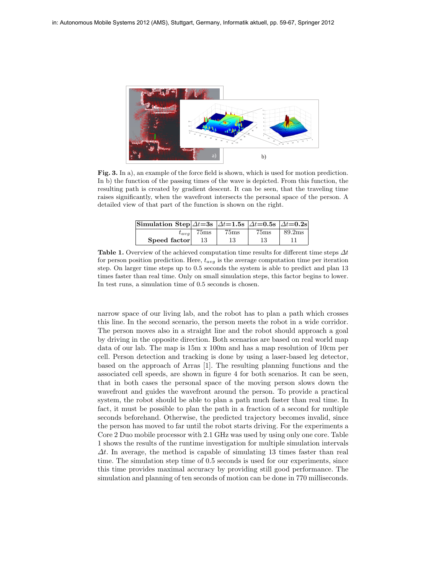

Fig. 3. In a), an example of the force field is shown, which is used for motion prediction. In b) the function of the passing times of the wave is depicted. From this function, the resulting path is created by gradient descent. It can be seen, that the traveling time raises significantly, when the wavefront intersects the personal space of the person. A detailed view of that part of the function is shown on the right.

| Simulation Step $\Delta t = 3s$ $\Delta t = 1.5s$ $\Delta t = 0.5s$ $\Delta t = 0.2s$ |                |      |      |        |
|---------------------------------------------------------------------------------------|----------------|------|------|--------|
|                                                                                       | $t_{avg}$ 75ms | 75ms | 75ms | 89.2ms |
| Speed factor                                                                          | 13             | 13   | 13   |        |

**Table 1.** Overview of the achieved computation time results for different time steps  $\Delta t$ for person position prediction. Here,  $t_{avg}$  is the average computation time per iteration step. On larger time steps up to 0.5 seconds the system is able to predict and plan 13 times faster than real time. Only on small simulation steps, this factor begins to lower. In test runs, a simulation time of 0.5 seconds is chosen.

narrow space of our living lab, and the robot has to plan a path which crosses this line. In the second scenario, the person meets the robot in a wide corridor. The person moves also in a straight line and the robot should approach a goal by driving in the opposite direction. Both scenarios are based on real world map data of our lab. The map is 15m x 100m and has a map resolution of 10cm per cell. Person detection and tracking is done by using a laser-based leg detector, based on the approach of Arras [1]. The resulting planning functions and the associated cell speeds, are shown in figure 4 for both scenarios. It can be seen, that in both cases the personal space of the moving person slows down the wavefront and guides the wavefront around the person. To provide a practical system, the robot should be able to plan a path much faster than real time. In fact, it must be possible to plan the path in a fraction of a second for multiple seconds beforehand. Otherwise, the predicted trajectory becomes invalid, since the person has moved to far until the robot starts driving. For the experiments a Core 2 Duo mobile processor with 2.1 GHz was used by using only one core. Table 1 shows the results of the runtime investigation for multiple simulation intervals  $\Delta t$ . In average, the method is capable of simulating 13 times faster than real time. The simulation step time of 0.5 seconds is used for our experiments, since this time provides maximal accuracy by providing still good performance. The simulation and planning of ten seconds of motion can be done in 770 milliseconds.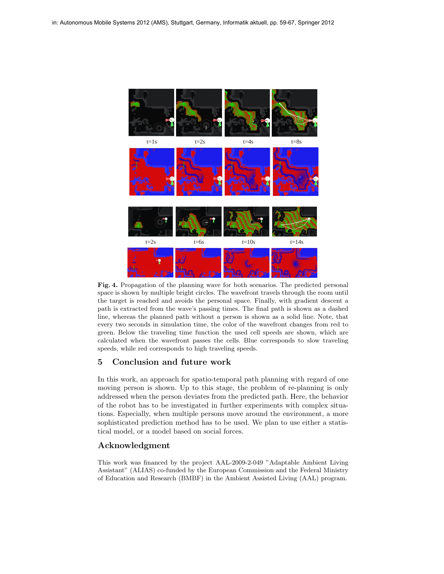

Fig. 4. Propagation of the planning wave for both scenarios. The predicted personal space is shown by multiple bright circles. The wavefront travels through the room until the target is reached and avoids the personal space. Finally, with gradient descent a path is extracted from the wave's passing times. The final path is shown as a dashed line, whereas the planned path without a person is shown as a solid line. Note, that every two seconds in simulation time, the color of the wavefront changes from red to green. Below the traveling time function the used cell speeds are shown, which are calculated when the wavefront passes the cells. Blue corresponds to slow traveling speeds, while red corresponds to high traveling speeds.

# 5 Conclusion and future work

In this work, an approach for spatio-temporal path planning with regard of one moving person is shown. Up to this stage, the problem of re-planning is only addressed when the person deviates from the predicted path. Here, the behavior of the robot has to be investigated in further experiments with complex situations. Especially, when multiple persons move around the environment, a more sophisticated prediction method has to be used. We plan to use either a statistical model, or a model based on social forces.

# Acknowledgment

This work was financed by the project AAL-2009-2-049 "Adaptable Ambient Living Assistant" (ALIAS) co-funded by the European Commission and the Federal Ministry of Education and Research (BMBF) in the Ambient Assisted Living (AAL) program.